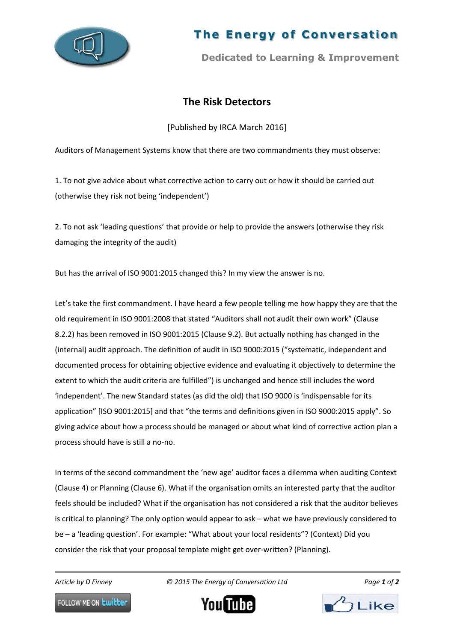

## **The Energy of Conversation**

**Dedicated to Learning & Improvement**

## **The Risk Detectors**

[Published by IRCA March 2016]

Auditors of Management Systems know that there are two commandments they must observe:

1. To not give advice about what corrective action to carry out or how it should be carried out (otherwise they risk not being 'independent')

2. To not ask 'leading questions' that provide or help to provide the answers (otherwise they risk damaging the integrity of the audit)

But has the arrival of ISO 9001:2015 changed this? In my view the answer is no.

Let's take the first commandment. I have heard a few people telling me how happy they are that the old requirement in ISO 9001:2008 that stated "Auditors shall not audit their own work" (Clause 8.2.2) has been removed in ISO 9001:2015 (Clause 9.2). But actually nothing has changed in the (internal) audit approach. The definition of audit in ISO 9000:2015 ("systematic, independent and documented process for obtaining objective evidence and evaluating it objectively to determine the extent to which the audit criteria are fulfilled") is unchanged and hence still includes the word 'independent'. The new Standard states (as did the old) that ISO 9000 is 'indispensable for its application" [ISO 9001:2015] and that "the terms and definitions given in ISO 9000:2015 apply". So giving advice about how a process should be managed or about what kind of corrective action plan a process should have is still a no-no.

In terms of the second commandment the 'new age' auditor faces a dilemma when auditing Context (Clause 4) or Planning (Clause 6). What if the organisation omits an interested party that the auditor feels should be included? What if the organisation has not considered a risk that the auditor believes is critical to planning? The only option would appear to ask – what we have previously considered to be – a 'leading question'. For example: "What about your local residents"? (Context) Did you consider the risk that your proposal template might get over-written? (Planning).

*Article by D Finney © 2015 The Energy of Conversation Ltd Page 1 of 2*



FOLLOW ME ON **Lwitter**